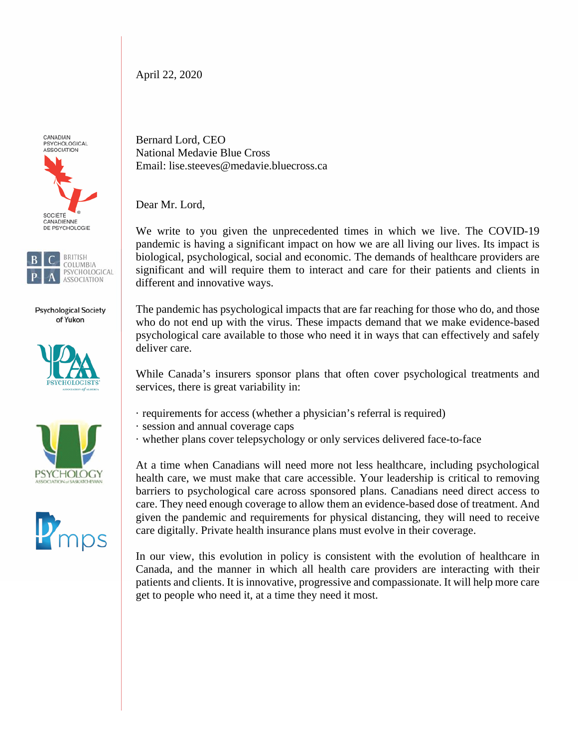April 22, 2020

CANADIAN PSYCHOLOGICAL ASSOCIATION





**Psychological Society** of Yukon







Bernard Lord, CEO National Medavie Blue Cross Email: lise.steeves@medavie.bluecross.ca

Dear Mr. Lord,

We write to you given the unprecedented times in which we live. The COVID-19 pandemic is having a significant impact on how we are all living our lives. Its impact is biological, psychological, social and economic. The demands of healthcare providers are significant and will require them to interact and care for their patients and clients in different and innovative ways.

The pandemic has psychological impacts that are far reaching for those who do, and those who do not end up with the virus. These impacts demand that we make evidence-based psychological care available to those who need it in ways that can effectively and safely deliver care.

While Canada's insurers sponsor plans that often cover psychological treatments and services, there is great variability in:

- · requirements for access (whether a physician's referral is required)
- · session and annual coverage caps
- · whether plans cover telepsychology or only services delivered face-to-face

At a time when Canadians will need more not less healthcare, including psychological health care, we must make that care accessible. Your leadership is critical to removing barriers to psychological care across sponsored plans. Canadians need direct access to care. They need enough coverage to allow them an evidence-based dose of treatment. And given the pandemic and requirements for physical distancing, they will need to receive care digitally. Private health insurance plans must evolve in their coverage.

In our view, this evolution in policy is consistent with the evolution of healthcare in Canada, and the manner in which all health care providers are interacting with their patients and clients. It is innovative, progressive and compassionate. It will help more care get to people who need it, at a time they need it most.